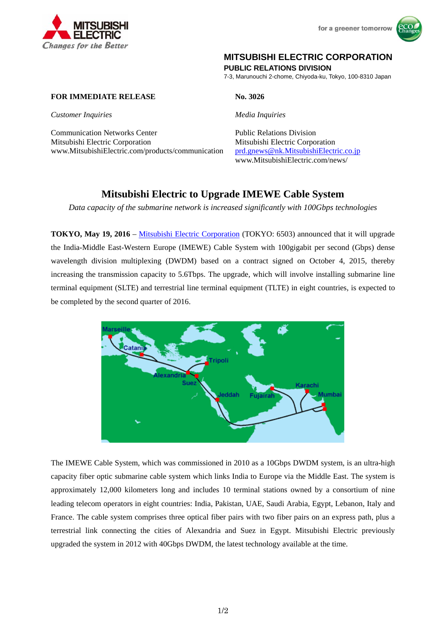



## **MITSUBISHI ELECTRIC CORPORATION**

**PUBLIC RELATIONS DIVISION** 

7-3, Marunouchi 2-chome, Chiyoda-ku, Tokyo, 100-8310 Japan

## **FOR IMMEDIATE RELEASE No. 3026**

*Customer Inquiries Media Inquiries*

Communication Networks Center Public Relations Division Mitsubishi Electric Corporation Mitsubishi Electric Corporation www.MitsubishiElectric.com/products/communication prd.gnews@nk.MitsubishiElectric.co.jp

www.MitsubishiElectric.com/news/

# **Mitsubishi Electric to Upgrade IMEWE Cable System**

*Data capacity of the submarine network is increased significantly with 100Gbps technologies* 

**TOKYO, May 19, 2016** – Mitsubishi Electric Corporation (TOKYO: 6503) announced that it will upgrade the India-Middle East-Western Europe (IMEWE) Cable System with 100gigabit per second (Gbps) dense wavelength division multiplexing (DWDM) based on a contract signed on October 4, 2015, thereby increasing the transmission capacity to 5.6Tbps. The upgrade, which will involve installing submarine line terminal equipment (SLTE) and terrestrial line terminal equipment (TLTE) in eight countries, is expected to be completed by the second quarter of 2016.



The IMEWE Cable System, which was commissioned in 2010 as a 10Gbps DWDM system, is an ultra-high capacity fiber optic submarine cable system which links India to Europe via the Middle East. The system is approximately 12,000 kilometers long and includes 10 terminal stations owned by a consortium of nine leading telecom operators in eight countries: India, Pakistan, UAE, Saudi Arabia, Egypt, Lebanon, Italy and France. The cable system comprises three optical fiber pairs with two fiber pairs on an express path, plus a terrestrial link connecting the cities of Alexandria and Suez in Egypt. Mitsubishi Electric previously upgraded the system in 2012 with 40Gbps DWDM, the latest technology available at the time.